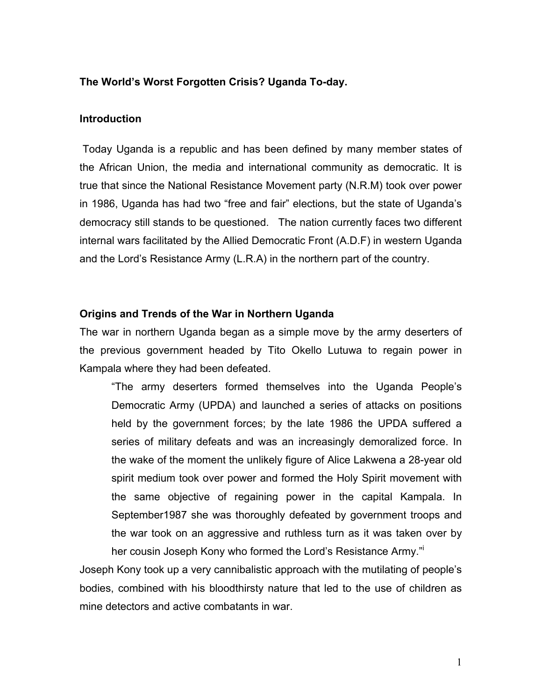### **The World's Worst Forgotten Crisis? Uganda To-day.**

#### **Introduction**

 Today Uganda is a republic and has been defined by many member states of the African Union, the media and international community as democratic. It is true that since the National Resistance Movement party (N.R.M) took over power in 1986, Uganda has had two "free and fair" elections, but the state of Uganda's democracy still stands to be questioned. The nation currently faces two different internal wars facilitated by the Allied Democratic Front (A.D.F) in western Uganda and the Lord's Resistance Army (L.R.A) in the northern part of the country.

#### **Origins and Trends of the War in Northern Uganda**

The war in northern Uganda began as a simple move by the army deserters of the previous government headed by Tito Okello Lutuwa to regain power in Kampala where they had been defeated.

"The army deserters formed themselves into the Uganda People's Democratic Army (UPDA) and launched a series of attacks on positions held by the government forces; by the late 1986 the UPDA suffered a series of military defeats and was an increasingly demoralized force. In the wake of the moment the unlikely figure of Alice Lakwena a 28-year old spirit medium took over power and formed the Holy Spirit movement with the same objective of regaining power in the capital Kampala. In September1987 she was thoroughly defeated by government troops and the war took on an aggressive and ruthless turn as it was taken over by her cousin Joseph Kony who formed the Lord's Resistance Army."

Joseph Kony took up a very cannibalistic approach with the mutilating of people's bodies, combined with his bloodthirsty nature that led to the use of children as mine detectors and active combatants in war.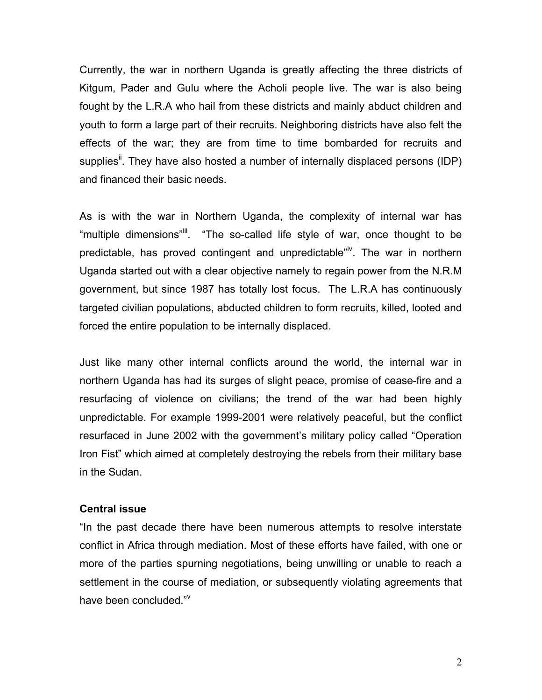Currently, the war in northern Uganda is greatly affecting the three districts of Kitgum, Pader and Gulu where the Acholi people live. The war is also being fought by the L.R.A who hail from these districts and mainly abduct children and youth to form a large part of their recruits. Neighboring districts have also felt the effects of the war; they are from time to time bombarded for recruits and supplies<sup>ii</sup>. They have also hosted a number of internally displaced persons (IDP) and financed their basic needs.

As is with the war in Northern Uganda, the complexity of internal war has "multiple dimensions"<sup>iii</sup>. "The so-called life style of war, once thought to be predictable, has proved contingent and unpredictable"<sup>iv</sup>. The war in northern Uganda started out with a clear objective namely to regain power from the N.R.M government, but since 1987 has totally lost focus. The L.R.A has continuously targeted civilian populations, abducted children to form recruits, killed, looted and forced the entire population to be internally displaced.

Just like many other internal conflicts around the world, the internal war in northern Uganda has had its surges of slight peace, promise of cease-fire and a resurfacing of violence on civilians; the trend of the war had been highly unpredictable. For example 1999-2001 were relatively peaceful, but the conflict resurfaced in June 2002 with the government's military policy called "Operation Iron Fist" which aimed at completely destroying the rebels from their military base in the Sudan.

#### **Central issue**

"In the past decade there have been numerous attempts to resolve interstate conflict in Africa through mediation. Most of these efforts have failed, with one or more of the parties spurning negotiations, being unwilling or unable to reach a settlement in the course of mediation, or subsequently violating agreements that have been concluded."V

2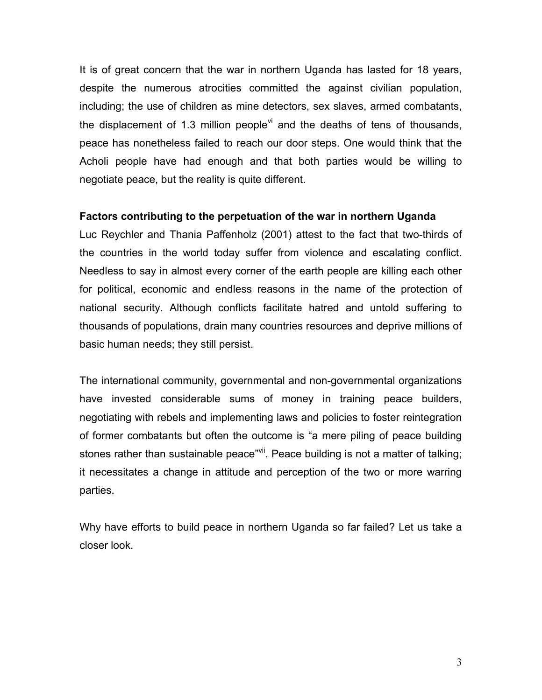It is of great concern that the war in northern Uganda has lasted for 18 years, despite the numerous atrocities committed the against civilian population, including; the use of children as mine detectors, sex slaves, armed combatants, the displacement of 1.3 million people<sup>vi</sup> and the deaths of tens of thousands, peace has nonetheless failed to reach our door steps. One would think that the Acholi people have had enough and that both parties would be willing to negotiate peace, but the reality is quite different.

# **Factors contributing to the perpetuation of the war in northern Uganda**

Luc Reychler and Thania Paffenholz (2001) attest to the fact that two-thirds of the countries in the world today suffer from violence and escalating conflict. Needless to say in almost every corner of the earth people are killing each other for political, economic and endless reasons in the name of the protection of national security. Although conflicts facilitate hatred and untold suffering to thousands of populations, drain many countries resources and deprive millions of basic human needs; they still persist.

The international community, governmental and non-governmental organizations have invested considerable sums of money in training peace builders, negotiating with rebels and implementing laws and policies to foster reintegration of former combatants but often the outcome is "a mere piling of peace building stones rather than sustainable peace"vii. Peace building is not a matter of talking; it necessitates a change in attitude and perception of the two or more warring parties.

Why have efforts to build peace in northern Uganda so far failed? Let us take a closer look.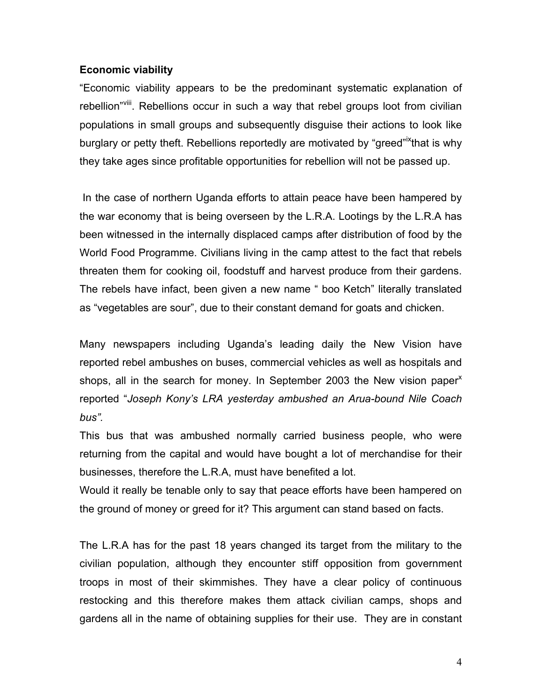## **Economic viability**

"Economic viability appears to be the predominant systematic explanation of rebellion"Vill. Rebellions occur in such a way that rebel groups loot from civilian populations in small groups and subsequently disguise their actions to look like burglary or petty theft. Rebellions reportedly are motivated by "greed"<sup>ix</sup>that is why they take ages since profitable opportunities for rebellion will not be passed up.

 In the case of northern Uganda efforts to attain peace have been hampered by the war economy that is being overseen by the L.R.A. Lootings by the L.R.A has been witnessed in the internally displaced camps after distribution of food by the World Food Programme. Civilians living in the camp attest to the fact that rebels threaten them for cooking oil, foodstuff and harvest produce from their gardens. The rebels have infact, been given a new name " boo Ketch" literally translated as "vegetables are sour", due to their constant demand for goats and chicken.

Many newspapers including Uganda's leading daily the New Vision have reported rebel ambushes on buses, commercial vehicles as well as hospitals and shops, all in the search for money. In September 2003 the New vision paper<sup>x</sup> reported "*Joseph Kony's LRA yesterday ambushed an Arua-bound Nile Coach bus".* 

This bus that was ambushed normally carried business people, who were returning from the capital and would have bought a lot of merchandise for their businesses, therefore the L.R.A, must have benefited a lot.

Would it really be tenable only to say that peace efforts have been hampered on the ground of money or greed for it? This argument can stand based on facts.

The L.R.A has for the past 18 years changed its target from the military to the civilian population, although they encounter stiff opposition from government troops in most of their skimmishes. They have a clear policy of continuous restocking and this therefore makes them attack civilian camps, shops and gardens all in the name of obtaining supplies for their use. They are in constant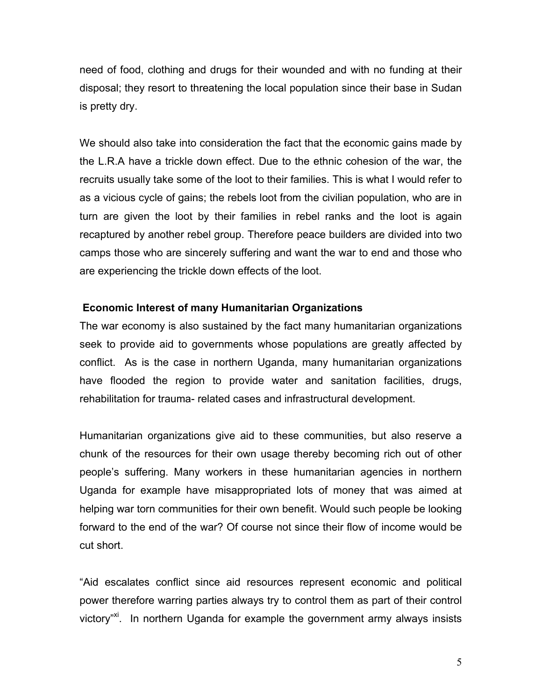need of food, clothing and drugs for their wounded and with no funding at their disposal; they resort to threatening the local population since their base in Sudan is pretty dry.

We should also take into consideration the fact that the economic gains made by the L.R.A have a trickle down effect. Due to the ethnic cohesion of the war, the recruits usually take some of the loot to their families. This is what I would refer to as a vicious cycle of gains; the rebels loot from the civilian population, who are in turn are given the loot by their families in rebel ranks and the loot is again recaptured by another rebel group. Therefore peace builders are divided into two camps those who are sincerely suffering and want the war to end and those who are experiencing the trickle down effects of the loot.

# **Economic Interest of many Humanitarian Organizations**

The war economy is also sustained by the fact many humanitarian organizations seek to provide aid to governments whose populations are greatly affected by conflict. As is the case in northern Uganda, many humanitarian organizations have flooded the region to provide water and sanitation facilities, drugs, rehabilitation for trauma- related cases and infrastructural development.

Humanitarian organizations give aid to these communities, but also reserve a chunk of the resources for their own usage thereby becoming rich out of other people's suffering. Many workers in these humanitarian agencies in northern Uganda for example have misappropriated lots of money that was aimed at helping war torn communities for their own benefit. Would such people be looking forward to the end of the war? Of course not since their flow of income would be cut short.

"Aid escalates conflict since aid resources represent economic and political power therefore warring parties always try to control them as part of their control victory"<sup>xi</sup>. In northern Uganda for example the government army always insists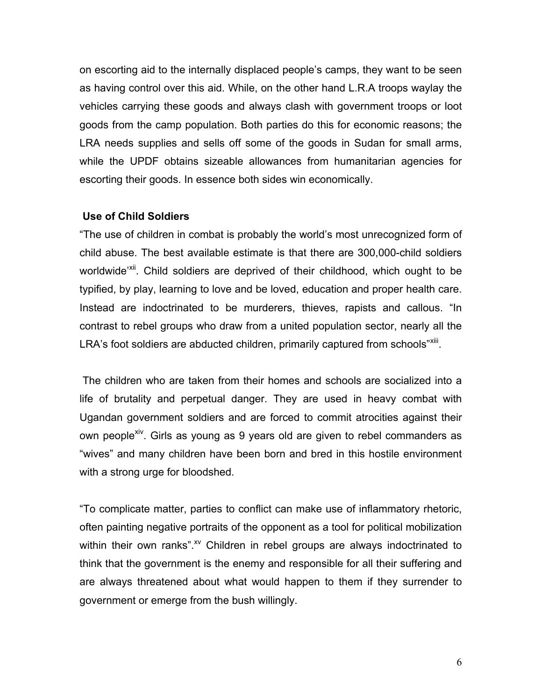on escorting aid to the internally displaced people's camps, they want to be seen as having control over this aid. While, on the other hand L.R.A troops waylay the vehicles carrying these goods and always clash with government troops or loot goods from the camp population. Both parties do this for economic reasons; the LRA needs supplies and sells off some of the goods in Sudan for small arms, while the UPDF obtains sizeable allowances from humanitarian agencies for escorting their goods. In essence both sides win economically.

## **Use of Child Soldiers**

"The use of children in combat is probably the world's most unrecognized form of child abuse. The best available estimate is that there are 300,000-child soldiers worldwide<sup>'xii</sup>. Child soldiers are deprived of their childhood, which ought to be typified, by play, learning to love and be loved, education and proper health care. Instead are indoctrinated to be murderers, thieves, rapists and callous. "In contrast to rebel groups who draw from a united population sector, nearly all the LRA's foot soldiers are abducted children, primarily captured from schools"Xiii.

 The children who are taken from their homes and schools are socialized into a life of brutality and perpetual danger. They are used in heavy combat with Ugandan government soldiers and are forced to commit atrocities against their own people<sup>xiv</sup>. Girls as young as 9 years old are given to rebel commanders as "wives" and many children have been born and bred in this hostile environment with a strong urge for bloodshed.

"To complicate matter, parties to conflict can make use of inflammatory rhetoric, often painting negative portraits of the opponent as a tool for political mobilization within their own ranks".<sup>xv</sup> Children in rebel groups are always indoctrinated to think that the government is the enemy and responsible for all their suffering and are always threatened about what would happen to them if they surrender to government or emerge from the bush willingly.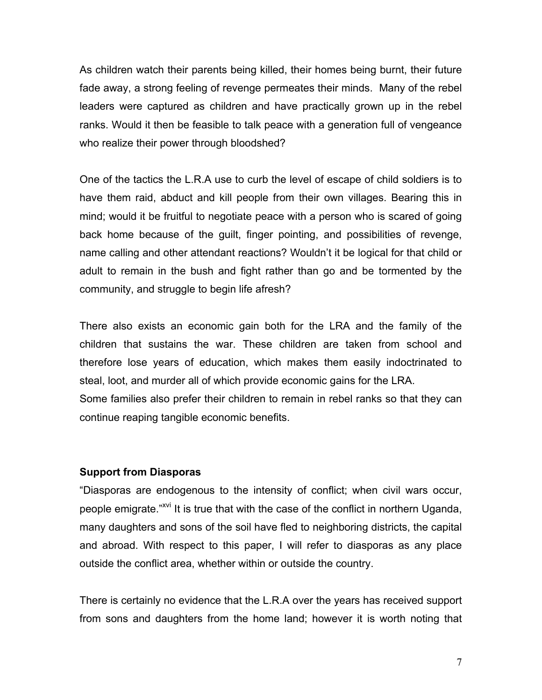As children watch their parents being killed, their homes being burnt, their future fade away, a strong feeling of revenge permeates their minds. Many of the rebel leaders were captured as children and have practically grown up in the rebel ranks. Would it then be feasible to talk peace with a generation full of vengeance who realize their power through bloodshed?

One of the tactics the L.R.A use to curb the level of escape of child soldiers is to have them raid, abduct and kill people from their own villages. Bearing this in mind; would it be fruitful to negotiate peace with a person who is scared of going back home because of the guilt, finger pointing, and possibilities of revenge, name calling and other attendant reactions? Wouldn't it be logical for that child or adult to remain in the bush and fight rather than go and be tormented by the community, and struggle to begin life afresh?

There also exists an economic gain both for the LRA and the family of the children that sustains the war. These children are taken from school and therefore lose years of education, which makes them easily indoctrinated to steal, loot, and murder all of which provide economic gains for the LRA. Some families also prefer their children to remain in rebel ranks so that they can continue reaping tangible economic benefits.

# **Support from Diasporas**

"Diasporas are endogenous to the intensity of conflict; when civil wars occur, people emigrate."<sup>XVI</sup> It is true that with the case of the conflict in northern Uganda, many daughters and sons of the soil have fled to neighboring districts, the capital and abroad. With respect to this paper, I will refer to diasporas as any place outside the conflict area, whether within or outside the country.

There is certainly no evidence that the L.R.A over the years has received support from sons and daughters from the home land; however it is worth noting that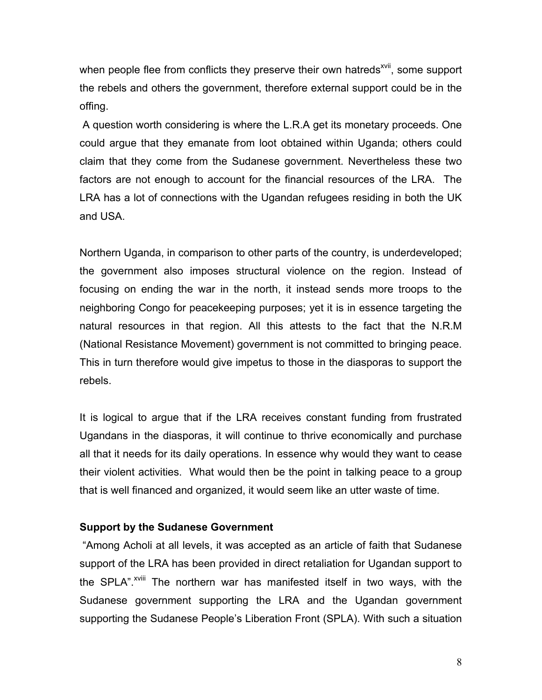when people flee from conflicts they preserve their own hatreds<sup>xvii</sup>, some support the rebels and others the government, therefore external support could be in the offing.

 A question worth considering is where the L.R.A get its monetary proceeds. One could argue that they emanate from loot obtained within Uganda; others could claim that they come from the Sudanese government. Nevertheless these two factors are not enough to account for the financial resources of the LRA. The LRA has a lot of connections with the Ugandan refugees residing in both the UK and USA.

Northern Uganda, in comparison to other parts of the country, is underdeveloped; the government also imposes structural violence on the region. Instead of focusing on ending the war in the north, it instead sends more troops to the neighboring Congo for peacekeeping purposes; yet it is in essence targeting the natural resources in that region. All this attests to the fact that the N.R.M (National Resistance Movement) government is not committed to bringing peace. This in turn therefore would give impetus to those in the diasporas to support the rebels.

It is logical to argue that if the LRA receives constant funding from frustrated Ugandans in the diasporas, it will continue to thrive economically and purchase all that it needs for its daily operations. In essence why would they want to cease their violent activities. What would then be the point in talking peace to a group that is well financed and organized, it would seem like an utter waste of time.

# **Support by the Sudanese Government**

 "Among Acholi at all levels, it was accepted as an article of faith that Sudanese support of the LRA has been provided in direct retaliation for Ugandan support to the SPLA".<sup>XVIII</sup> The northern war has manifested itself in two ways, with the Sudanese government supporting the LRA and the Ugandan government supporting the Sudanese People's Liberation Front (SPLA). With such a situation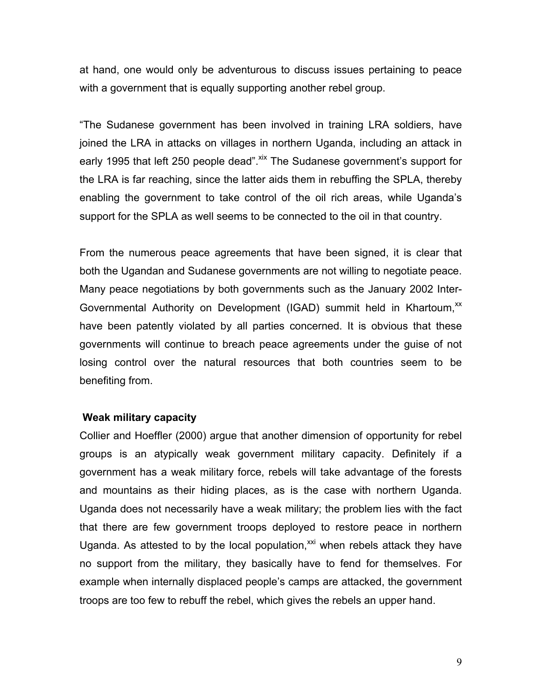at hand, one would only be adventurous to discuss issues pertaining to peace with a government that is equally supporting another rebel group.

"The Sudanese government has been involved in training LRA soldiers, have joined the LRA in attacks on villages in northern Uganda, including an attack in early 1995 that left 250 people dead". Xix The Sudanese government's support for the LRA is far reaching, since the latter aids them in rebuffing the SPLA, thereby enabling the government to take control of the oil rich areas, while Uganda's support for the SPLA as well seems to be connected to the oil in that country.

From the numerous peace agreements that have been signed, it is clear that both the Ugandan and Sudanese governments are not willing to negotiate peace. Many peace negotiations by both governments such as the January 2002 Inter-Governmental Authority on Development (IGAD) summit held in Khartoum,<sup>xx</sup> have been patently violated by all parties concerned. It is obvious that these governments will continue to breach peace agreements under the guise of not losing control over the natural resources that both countries seem to be benefiting from.

#### **Weak military capacity**

Collier and Hoeffler (2000) argue that another dimension of opportunity for rebel groups is an atypically weak government military capacity. Definitely if a government has a weak military force, rebels will take advantage of the forests and mountains as their hiding places, as is the case with northern Uganda. Uganda does not necessarily have a weak military; the problem lies with the fact that there are few government troops deployed to restore peace in northern Uganda. As attested to by the local population, $^{xxi}$  when rebels attack they have no support from the military, they basically have to fend for themselves. For example when internally displaced people's camps are attacked, the government troops are too few to rebuff the rebel, which gives the rebels an upper hand.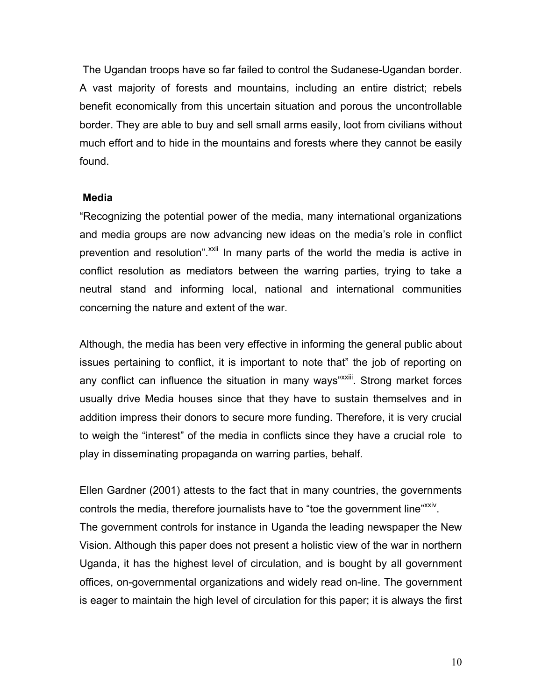The Ugandan troops have so far failed to control the Sudanese-Ugandan border. A vast majority of forests and mountains, including an entire district; rebels benefit economically from this uncertain situation and porous the uncontrollable border. They are able to buy and sell small arms easily, loot from civilians without much effort and to hide in the mountains and forests where they cannot be easily found.

## **Media**

"Recognizing the potential power of the media, many international organizations and media groups are now advancing new ideas on the media's role in conflict prevention and resolution".<sup>xxii</sup> In many parts of the world the media is active in conflict resolution as mediators between the warring parties, trying to take a neutral stand and informing local, national and international communities concerning the nature and extent of the war.

Although, the media has been very effective in informing the general public about issues pertaining to conflict, it is important to note that" the job of reporting on any conflict can influence the situation in many ways"<sup>XXIII</sup>. Strong market forces usually drive Media houses since that they have to sustain themselves and in addition impress their donors to secure more funding. Therefore, it is very crucial to weigh the "interest" of the media in conflicts since they have a crucial role to play in disseminating propaganda on warring parties, behalf.

Ellen Gardner (2001) attests to the fact that in many countries, the governments controls the media, therefore journalists have to "toe the government line"<sup>xxiv</sup>. The government controls for instance in Uganda the leading newspaper the New Vision. Although this paper does not present a holistic view of the war in northern Uganda, it has the highest level of circulation, and is bought by all government offices, on-governmental organizations and widely read on-line. The government is eager to maintain the high level of circulation for this paper; it is always the first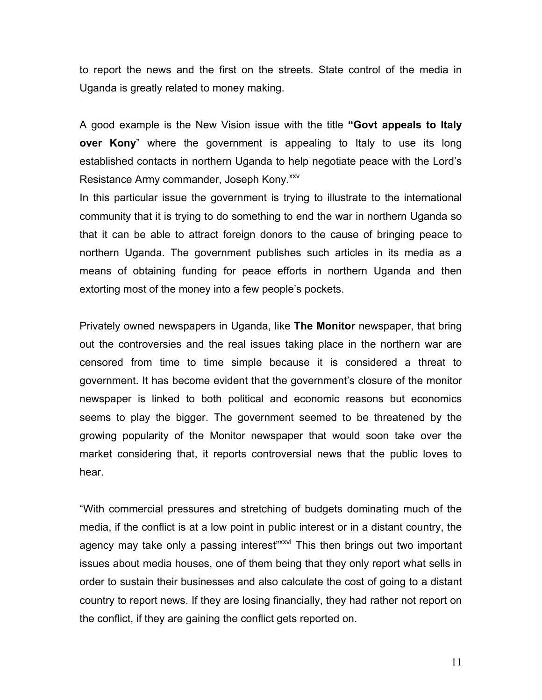to report the news and the first on the streets. State control of the media in Uganda is greatly related to money making.

A good example is the New Vision issue with the title **"Govt appeals to Italy over Kony**" where the government is appealing to Italy to use its long established contacts in northern Uganda to help negotiate peace with the Lord's Resistance Army commander, Joseph Kony.<sup>xxv</sup>

In this particular issue the government is trying to illustrate to the international community that it is trying to do something to end the war in northern Uganda so that it can be able to attract foreign donors to the cause of bringing peace to northern Uganda. The government publishes such articles in its media as a means of obtaining funding for peace efforts in northern Uganda and then extorting most of the money into a few people's pockets.

Privately owned newspapers in Uganda, like **The Monitor** newspaper, that bring out the controversies and the real issues taking place in the northern war are censored from time to time simple because it is considered a threat to government. It has become evident that the government's closure of the monitor newspaper is linked to both political and economic reasons but economics seems to play the bigger. The government seemed to be threatened by the growing popularity of the Monitor newspaper that would soon take over the market considering that, it reports controversial news that the public loves to hear.

"With commercial pressures and stretching of budgets dominating much of the media, if the conflict is at a low point in public interest or in a distant country, the agency may take only a passing interest"<sup>xxxvi</sup> This then brings out two important issues about media houses, one of them being that they only report what sells in order to sustain their businesses and also calculate the cost of going to a distant country to report news. If they are losing financially, they had rather not report on the conflict, if they are gaining the conflict gets reported on.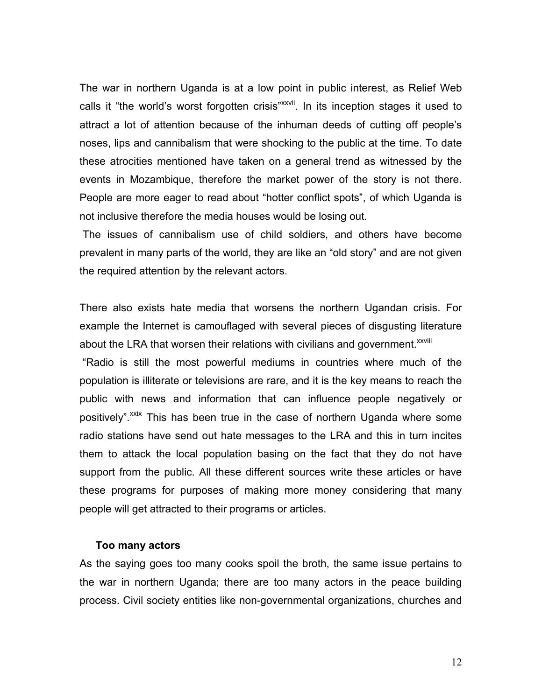The war in northern Uganda is at a low point in public interest, as Relief Web calls it "the world's worst forgotten crisis"<sup>xxvii</sup>. In its inception stages it used to attract a lot of attention because of the inhuman deeds of cutting off people's noses, lips and cannibalism that were shocking to the public at the time. To date these atrocities mentioned have taken on a general trend as witnessed by the events in Mozambique, therefore the market power of the story is not there. People are more eager to read about "hotter conflict spots", of which Uganda is not inclusive therefore the media houses would be losing out.

 The issues of cannibalism use of child soldiers, and others have become prevalent in many parts of the world, they are like an "old story" and are not given the required attention by the relevant actors.

There also exists hate media that worsens the northern Ugandan crisis. For example the Internet is camouflaged with several pieces of disgusting literature about the LRA that worsen their relations with civilians and government.<sup>xxviii</sup>

 "Radio is still the most powerful mediums in countries where much of the population is illiterate or televisions are rare, and it is the key means to reach the public with news and information that can influence people negatively or positively".<sup>xxix</sup> This has been true in the case of northern Uganda where some radio stations have send out hate messages to the LRA and this in turn incites them to attack the local population basing on the fact that they do not have support from the public. All these different sources write these articles or have these programs for purposes of making more money considering that many people will get attracted to their programs or articles.

#### **Too many actors**

As the saying goes too many cooks spoil the broth, the same issue pertains to the war in northern Uganda; there are too many actors in the peace building process. Civil society entities like non-governmental organizations, churches and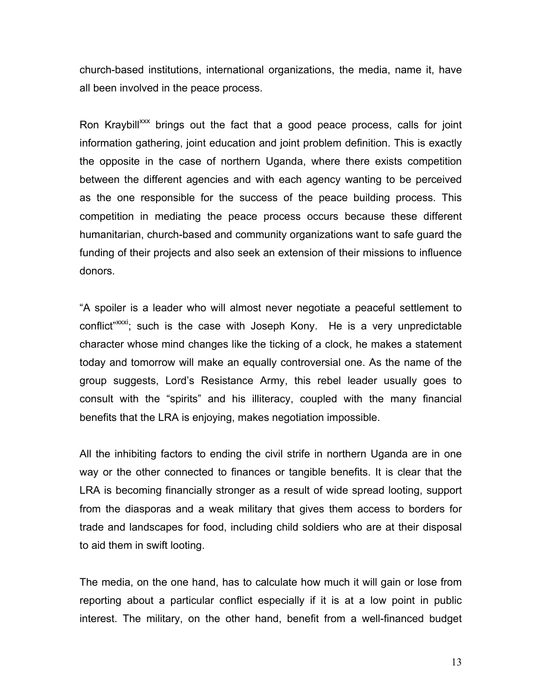church-based institutions, international organizations, the media, name it, have all been involved in the peace process.

Ron Kraybill<sup>xxx</sup> brings out the fact that a good peace process, calls for joint information gathering, joint education and joint problem definition. This is exactly the opposite in the case of northern Uganda, where there exists competition between the different agencies and with each agency wanting to be perceived as the one responsible for the success of the peace building process. This competition in mediating the peace process occurs because these different humanitarian, church-based and community organizations want to safe guard the funding of their projects and also seek an extension of their missions to influence donors.

"A spoiler is a leader who will almost never negotiate a peaceful settlement to conflict"xxxi; such is the case with Joseph Kony. He is a very unpredictable character whose mind changes like the ticking of a clock, he makes a statement today and tomorrow will make an equally controversial one. As the name of the group suggests, Lord's Resistance Army, this rebel leader usually goes to consult with the "spirits" and his illiteracy, coupled with the many financial benefits that the LRA is enjoying, makes negotiation impossible.

All the inhibiting factors to ending the civil strife in northern Uganda are in one way or the other connected to finances or tangible benefits. It is clear that the LRA is becoming financially stronger as a result of wide spread looting, support from the diasporas and a weak military that gives them access to borders for trade and landscapes for food, including child soldiers who are at their disposal to aid them in swift looting.

The media, on the one hand, has to calculate how much it will gain or lose from reporting about a particular conflict especially if it is at a low point in public interest. The military, on the other hand, benefit from a well-financed budget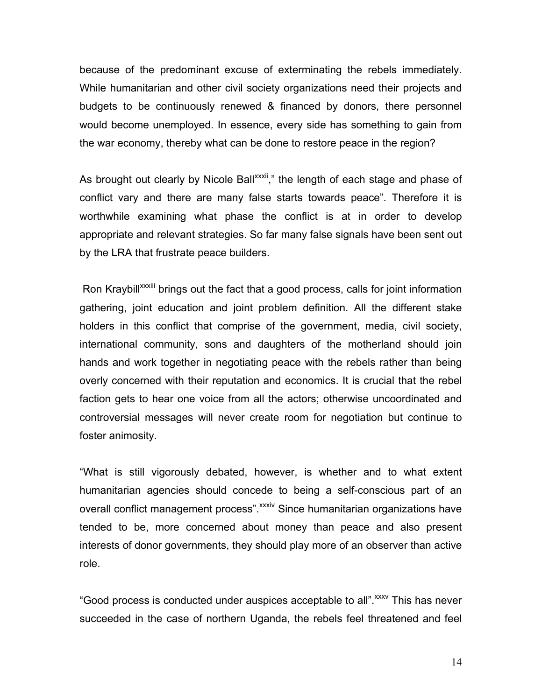because of the predominant excuse of exterminating the rebels immediately. While humanitarian and other civil society organizations need their projects and budgets to be continuously renewed & financed by donors, there personnel would become unemployed. In essence, every side has something to gain from the war economy, thereby what can be done to restore peace in the region?

As brought out clearly by Nicole Ball<sup>xxxii</sup>," the length of each stage and phase of conflict vary and there are many false starts towards peace". Therefore it is worthwhile examining what phase the conflict is at in order to develop appropriate and relevant strategies. So far many false signals have been sent out by the LRA that frustrate peace builders.

Ron Kraybill<sup>xxxiii</sup> brings out the fact that a good process, calls for joint information gathering, joint education and joint problem definition. All the different stake holders in this conflict that comprise of the government, media, civil society, international community, sons and daughters of the motherland should join hands and work together in negotiating peace with the rebels rather than being overly concerned with their reputation and economics. It is crucial that the rebel faction gets to hear one voice from all the actors; otherwise uncoordinated and controversial messages will never create room for negotiation but continue to foster animosity.

"What is still vigorously debated, however, is whether and to what extent humanitarian agencies should concede to being a self-conscious part of an overall conflict management process". *xxxiv* Since humanitarian organizations have tended to be, more concerned about money than peace and also present interests of donor governments, they should play more of an observer than active role.

"Good process is conducted under auspices acceptable to all". XXXV This has never succeeded in the case of northern Uganda, the rebels feel threatened and feel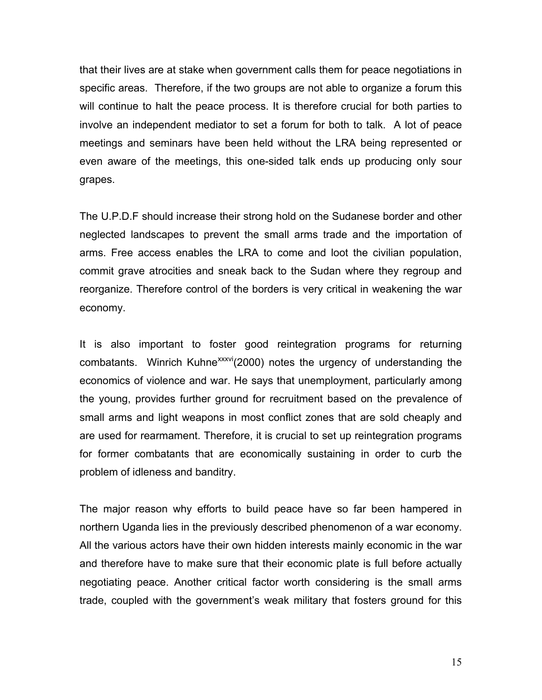that their lives are at stake when government calls them for peace negotiations in specific areas. Therefore, if the two groups are not able to organize a forum this will continue to halt the peace process. It is therefore crucial for both parties to involve an independent mediator to set a forum for both to talk. A lot of peace meetings and seminars have been held without the LRA being represented or even aware of the meetings, this one-sided talk ends up producing only sour grapes.

The U.P.D.F should increase their strong hold on the Sudanese border and other neglected landscapes to prevent the small arms trade and the importation of arms. Free access enables the LRA to come and loot the civilian population, commit grave atrocities and sneak back to the Sudan where they regroup and reorganize. Therefore control of the borders is very critical in weakening the war economy.

It is also important to foster good reintegration programs for returning combatants. Winrich Kuhne<sup>xxxvi</sup>(2000) notes the urgency of understanding the economics of violence and war. He says that unemployment, particularly among the young, provides further ground for recruitment based on the prevalence of small arms and light weapons in most conflict zones that are sold cheaply and are used for rearmament. Therefore, it is crucial to set up reintegration programs for former combatants that are economically sustaining in order to curb the problem of idleness and banditry.

The major reason why efforts to build peace have so far been hampered in northern Uganda lies in the previously described phenomenon of a war economy. All the various actors have their own hidden interests mainly economic in the war and therefore have to make sure that their economic plate is full before actually negotiating peace. Another critical factor worth considering is the small arms trade, coupled with the government's weak military that fosters ground for this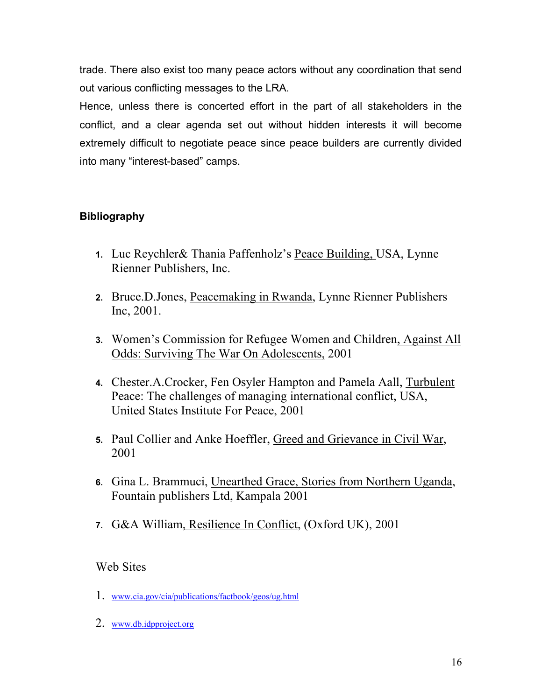trade. There also exist too many peace actors without any coordination that send out various conflicting messages to the LRA.

Hence, unless there is concerted effort in the part of all stakeholders in the conflict, and a clear agenda set out without hidden interests it will become extremely difficult to negotiate peace since peace builders are currently divided into many "interest-based" camps.

# **Bibliography**

- **1.** Luc Reychler& Thania Paffenholz's Peace Building, USA, Lynne Rienner Publishers, Inc.
- **2.** Bruce.D.Jones, Peacemaking in Rwanda, Lynne Rienner Publishers Inc, 2001.
- **3.** Women's Commission for Refugee Women and Children, Against All Odds: Surviving The War On Adolescents, 2001
- **4.** Chester.A.Crocker, Fen Osyler Hampton and Pamela Aall, Turbulent Peace: The challenges of managing international conflict, USA, United States Institute For Peace, 2001
- **5.** Paul Collier and Anke Hoeffler, Greed and Grievance in Civil War, 2001
- **6.** Gina L. Brammuci, Unearthed Grace, Stories from Northern Uganda, Fountain publishers Ltd, Kampala 2001
- **7.** G&A William, Resilience In Conflict, (Oxford UK), 2001

# Web Sites

- 1. www.cia.gov/cia/publications/factbook/geos/ug.html
- 2. www.db.idpproject.org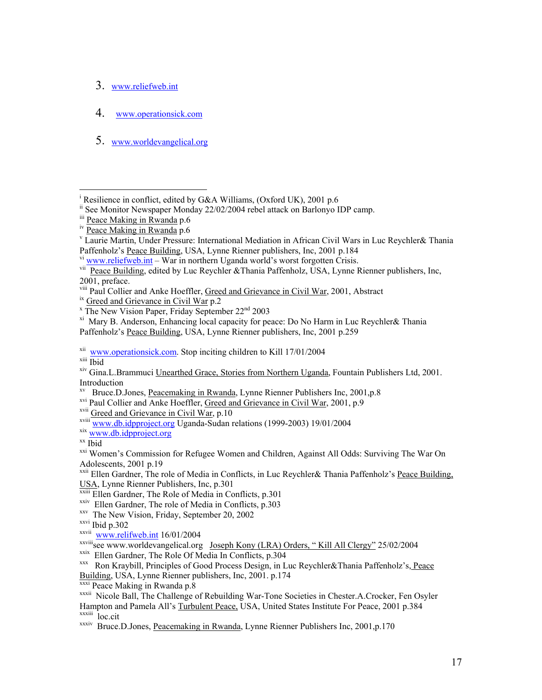- 3. www.reliefweb.int
- 4. www.operationsick.com
- 5. www.worldevangelical.org

<sup>viii</sup> Paul Collier and Anke Hoeffler, <u>Greed and Grievance in Civil War</u>, 2001, Abstract <sup>ix</sup> Greed and Grievance in Civil War p.2 <br><sup>x</sup> The New Vision Paper, Friday September 22<sup>nd</sup> 2003

 $\overline{a}$ 

<sup>xv</sup> Bruce.D.Jones, Peacemaking in Rwanda, Lynne Rienner Publishers Inc, 2001, p.8

xvi Paul Collier and Anke Hoeffler, Greed and Grievance in Civil War, 2001, p.9

<sup>xxi</sup> Women's Commission for Refugee Women and Children, Against All Odds: Surviving The War On Adolescents, 2001 p.19

<sup>xxii</sup> Ellen Gardner, The role of Media in Conflicts, in Luc Reychler& Thania Paffenholz's **Peace Building**, USA, Lynne Rienner Publishers, Inc, p.301

- $\overline{x}$ <sup>xxiii</sup> Ellen Gardner, The Role of Media in Conflicts, p.301
- $\frac{x}{xy}$  Ellen Gardner, The role of Media in Conflicts, p.303  $\frac{x}{xy}$  The New Vision, Friday, September 20, 2002
- 

xxvi Ibid p.302

- 
- xxvii www.relifweb.int 16/01/2004<br>xxviii see www.worldevangelical.org Joseph Kony (LRA) Orders, "Kill All Clergy" 25/02/2004
- 
- xxix Ellen Gardner, The Role Of Media In Conflicts, p.304<br>xxx Ron Kraybill, Principles of Good Process Design, in Luc Reychler&Thania Paffenholz's, Peace Building, USA, Lynne Rienner publishers, Inc, 2001. p.174<br>
<sup>xxxi</sup> Peace Making in Rwanda p.8<br>
<sup>xxxii</sup> Nicole Ball, The Challenge of Rebuilding War-Tone Societies in Chester.A.Crocker, Fen Osyler
- 

xxxiv Bruce.D.Jones, Peacemaking in Rwanda, Lynne Rienner Publishers Inc, 2001,p.170

<sup>&</sup>lt;sup>i</sup> Resilience in conflict, edited by G&A Williams, (Oxford UK), 2001 p.6

ii See Monitor Newspaper Monday 22/02/2004 rebel attack on Barlonyo IDP camp.

<sup>&</sup>lt;sup>iii</sup> Peace Making in Rwanda p.6

 $\frac{1}{10}$  Peace Making in Rwanda p.6

Laurie Martin, Under Pressure: International Mediation in African Civil Wars in Luc Reychler& Thania Paffenholz's Peace Building, USA, Lynne Rienner publishers, Inc, 2001 p.184

vi www.reliefweb.int – War in northern Uganda world's worst forgotten Crisis.

vii Peace Building, edited by Luc Reychler & Thania Paffenholz, USA, Lynne Rienner publishers, Inc, 2001, preface.

 $X^i$  Mary B. Anderson, Enhancing local capacity for peace: Do No Harm in Luc Reychler& Thania Paffenholz's Peace Building, USA, Lynne Rienner publishers, Inc, 2001 p.259

<sup>&</sup>lt;sup>xii</sup> www.operationsick.com. Stop inciting children to Kill 17/01/2004<br><sup>xiii</sup> Ibid

xiv Gina.L.Brammuci Unearthed Grace, Stories from Northern Uganda, Fountain Publishers Ltd, 2001. Introduction

xvii Greed and Grievance in Civil War, p.10

<sup>&</sup>lt;sup>xviii</sup> www.db.idpproject.org Uganda-Sudan relations (1999-2003) 19/01/2004<br><sup>xix</sup> www.db.idpproject.org<br><sup>xx</sup> Ibid

Hampton and Pamela All's Turbulent Peace, USA, United States Institute For Peace, 2001 p.384 xxxiii loc.cit